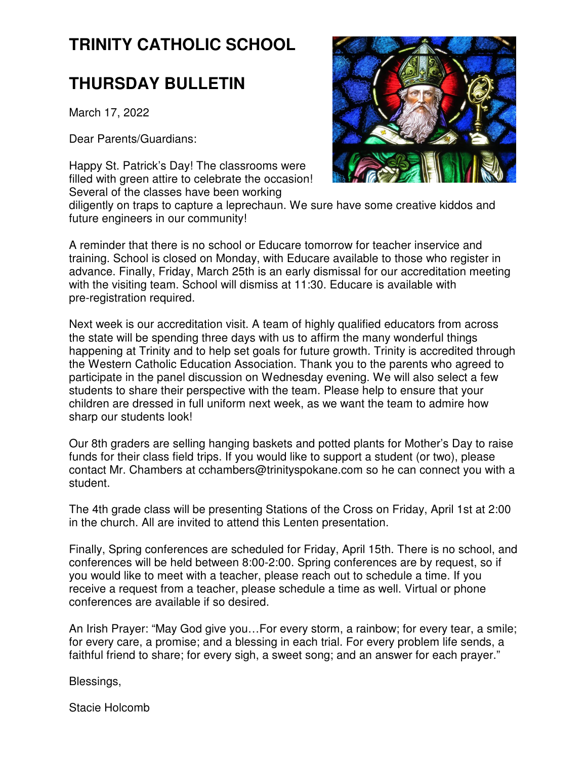# **TRINITY CATHOLIC SCHOOL**

## **THURSDAY BULLETIN**

March 17, 2022

Dear Parents/Guardians:

Happy St. Patrick's Day! The classrooms were filled with green attire to celebrate the occasion! Several of the classes have been working



diligently on traps to capture a leprechaun. We sure have some creative kiddos and future engineers in our community!

A reminder that there is no school or Educare tomorrow for teacher inservice and training. School is closed on Monday, with Educare available to those who register in advance. Finally, Friday, March 25th is an early dismissal for our accreditation meeting with the visiting team. School will dismiss at 11:30. Educare is available with pre-registration required.

Next week is our accreditation visit. A team of highly qualified educators from across the state will be spending three days with us to affirm the many wonderful things happening at Trinity and to help set goals for future growth. Trinity is accredited through the Western Catholic Education Association. Thank you to the parents who agreed to participate in the panel discussion on Wednesday evening. We will also select a few students to share their perspective with the team. Please help to ensure that your children are dressed in full uniform next week, as we want the team to admire how sharp our students look!

Our 8th graders are selling hanging baskets and potted plants for Mother's Day to raise funds for their class field trips. If you would like to support a student (or two), please contact Mr. Chambers at cchambers@trinityspokane.com so he can connect you with a student.

The 4th grade class will be presenting Stations of the Cross on Friday, April 1st at 2:00 in the church. All are invited to attend this Lenten presentation.

Finally, Spring conferences are scheduled for Friday, April 15th. There is no school, and conferences will be held between 8:00-2:00. Spring conferences are by request, so if you would like to meet with a teacher, please reach out to schedule a time. If you receive a request from a teacher, please schedule a time as well. Virtual or phone conferences are available if so desired.

An Irish Prayer: "May God give you…For every storm, a rainbow; for every tear, a smile; for every care, a promise; and a blessing in each trial. For every problem life sends, a faithful friend to share; for every sigh, a sweet song; and an answer for each prayer."

Blessings,

Stacie Holcomb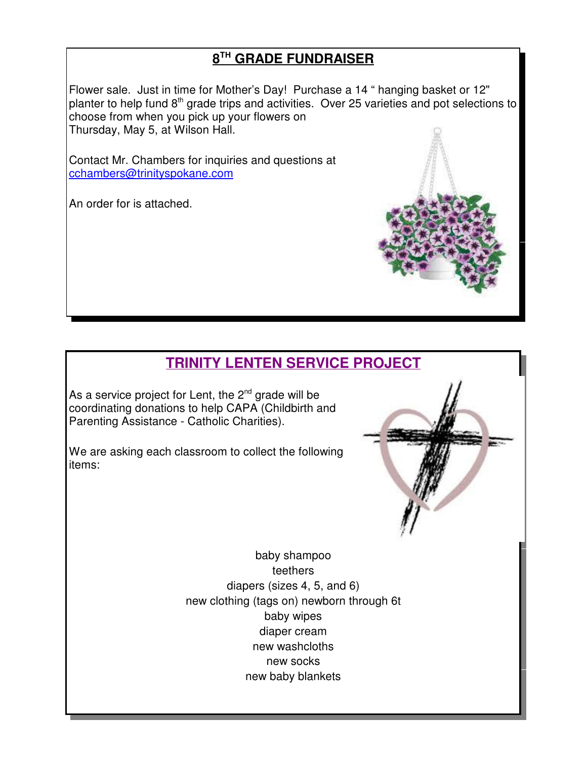### **8 TH GRADE FUNDRAISER**

Flower sale. Just in time for Mother's Day! Purchase a 14 " hanging basket or 12" planter to help fund 8<sup>th</sup> grade trips and activities. Over 25 varieties and pot selections to choose from when you pick up your flowers on Thursday, May 5, at Wilson Hall.

Contact Mr. Chambers for inquiries and questions at cchambers@trinityspokane.com

An order for is attached.

## **TRINITY LENTEN SERVICE PROJECT**

As a service project for Lent, the  $2^{nd}$  grade will be coordinating donations to help CAPA (Childbirth and Parenting Assistance - Catholic Charities).

We are asking each classroom to collect the following items:



new baby blankets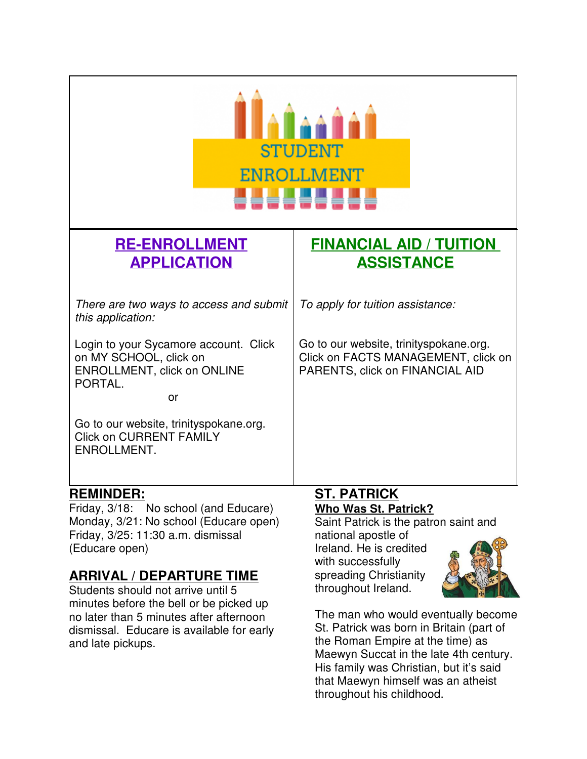| STUDENT<br>ENROLLMENT<br>88888888                                                                                      |                                                                                                                  |
|------------------------------------------------------------------------------------------------------------------------|------------------------------------------------------------------------------------------------------------------|
| <b>RE-ENROLLMENT</b><br><b>APPLICATION</b>                                                                             | <b>FINANCIAL AID / TUITION</b><br><b>ASSISTANCE</b>                                                              |
|                                                                                                                        |                                                                                                                  |
| There are two ways to access and submit<br>this application:                                                           | To apply for tuition assistance:                                                                                 |
| Login to your Sycamore account. Click<br>on MY SCHOOL, click on<br><b>ENROLLMENT, click on ONLINE</b><br>PORTAL.<br>or | Go to our website, trinityspokane.org.<br>Click on FACTS MANAGEMENT, click on<br>PARENTS, click on FINANCIAL AID |
| Go to our website, trinityspokane.org.<br><b>Click on CURRENT FAMILY</b><br>ENROLLMENT.                                |                                                                                                                  |
| <b>REMINDER:</b><br>No school (and Educare)<br>Fridav. 3/18:                                                           | <b>ST. PATRICK</b><br>Who Was St. Patrick?                                                                       |

Friday, 3/18: No school (and Educare) Monday, 3/21: No school (Educare open) Friday, 3/25: 11:30 a.m. dismissal (Educare open)

#### **ARRIVAL / DEPARTURE TIME**

Students should not arrive until 5 minutes before the bell or be picked up no later than 5 minutes after afternoon dismissal. Educare is available for early and late pickups.

# **Who Was St. Patrick?**

Saint Patrick is the patron saint and national apostle of Ireland. He is credited with successfully spreading Christianity throughout Ireland.



The man who would eventually become St. Patrick was born in Britain (part of the Roman Empire at the time) as Maewyn Succat in the late 4th century. His family was Christian, but it's said that Maewyn himself was an atheist throughout his childhood.